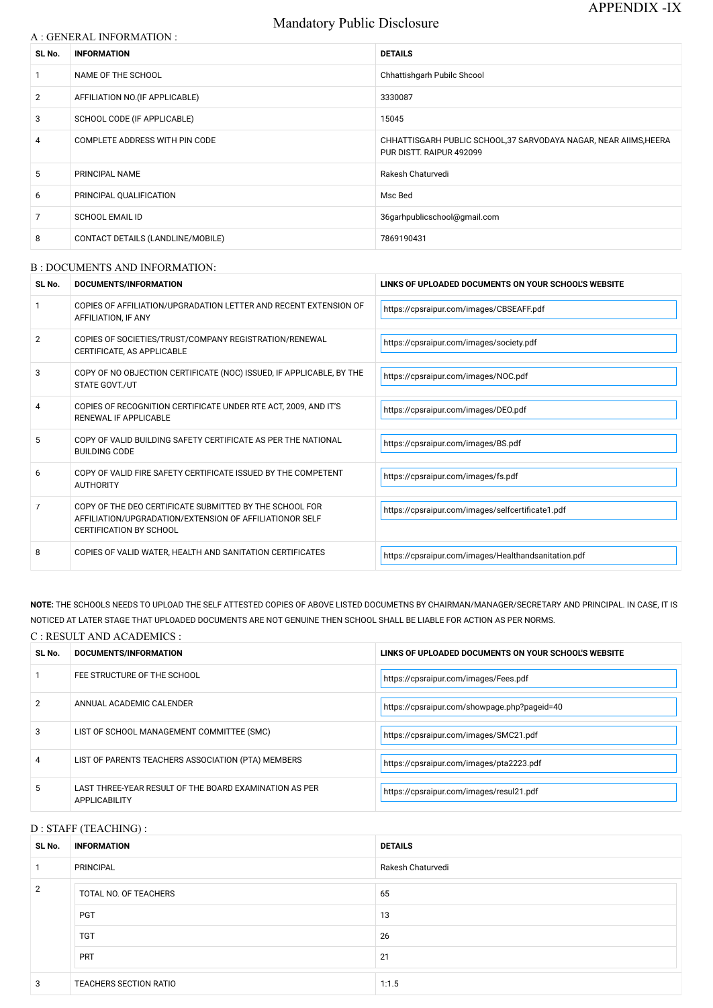# Mandatory Public Disclosure

| A : GENERAL INFORMATION : |  |
|---------------------------|--|
|                           |  |

| SL No.         | <b>INFORMATION</b>                | <b>DETAILS</b>                                                                                |
|----------------|-----------------------------------|-----------------------------------------------------------------------------------------------|
| 1              | NAME OF THE SCHOOL                | Chhattishgarh Pubilc Shcool                                                                   |
| $\overline{2}$ | AFFILIATION NO. (IF APPLICABLE)   | 3330087                                                                                       |
| 3              | SCHOOL CODE (IF APPLICABLE)       | 15045                                                                                         |
| 4              | COMPLETE ADDRESS WITH PIN CODE    | CHHATTISGARH PUBLIC SCHOOL, 37 SARVODAYA NAGAR, NEAR AIIMS, HEERA<br>PUR DISTT. RAIPUR 492099 |
| 5              | PRINCIPAL NAME                    | Rakesh Chaturvedi                                                                             |
| 6              | PRINCIPAL QUALIFICATION           | Msc Bed                                                                                       |
| $\overline{7}$ | <b>SCHOOL EMAIL ID</b>            | 36garhpublicschool@gmail.com                                                                  |
| 8              | CONTACT DETAILS (LANDLINE/MOBILE) | 7869190431                                                                                    |

### B : DOCUMENTS AND INFORMATION:

| SL No. | DOCUMENTS/INFORMATION                                                                                                                                | LINKS OF UPLOADED DOCUMENTS ON YOUR SCHOOL'S WEBSITE |  |
|--------|------------------------------------------------------------------------------------------------------------------------------------------------------|------------------------------------------------------|--|
|        | COPIES OF AFFILIATION/UPGRADATION LETTER AND RECENT EXTENSION OF<br>AFFILIATION, IF ANY                                                              | https://cpsraipur.com/images/CBSEAFF.pdf             |  |
| 2      | COPIES OF SOCIETIES/TRUST/COMPANY REGISTRATION/RENEWAL<br>CERTIFICATE, AS APPLICABLE                                                                 | https://cpsraipur.com/images/society.pdf             |  |
| 3      | COPY OF NO OBJECTION CERTIFICATE (NOC) ISSUED, IF APPLICABLE, BY THE<br><b>STATE GOVT./UT</b>                                                        | https://cpsraipur.com/images/NOC.pdf                 |  |
|        | COPIES OF RECOGNITION CERTIFICATE UNDER RTE ACT, 2009, AND IT'S<br>RENEWAL IF APPLICABLE                                                             | https://cpsraipur.com/images/DEO.pdf                 |  |
| 5      | COPY OF VALID BUILDING SAFETY CERTIFICATE AS PER THE NATIONAL<br><b>BUILDING CODE</b>                                                                | https://cpsraipur.com/images/BS.pdf                  |  |
| 6      | COPY OF VALID FIRE SAFETY CERTIFICATE ISSUED BY THE COMPETENT<br><b>AUTHORITY</b>                                                                    | https://cpsraipur.com/images/fs.pdf                  |  |
| 7      | COPY OF THE DEO CERTIFICATE SUBMITTED BY THE SCHOOL FOR<br>AFFILIATION/UPGRADATION/EXTENSION OF AFFILIATIONOR SELF<br><b>CERTIFICATION BY SCHOOL</b> | https://cpsraipur.com/images/selfcertificate1.pdf    |  |
| 8      | COPIES OF VALID WATER, HEALTH AND SANITATION CERTIFICATES                                                                                            | https://cpsraipur.com/images/Healthandsanitation.pdf |  |

**NOTE:** THE SCHOOLS NEEDS TO UPLOAD THE SELF ATTESTED COPIES OF ABOVE LISTED DOCUMETNS BY CHAIRMAN/MANAGER/SECRETARY AND PRINCIPAL. IN CASE, IT IS NOTICED AT LATER STAGE THAT UPLOADED DOCUMENTS ARE NOT GENUINE THEN SCHOOL SHALL BE LIABLE FOR ACTION AS PER NORMS.

# C : RESULT AND ACADEMICS :

| SL No. | DOCUMENTS/INFORMATION                                                          | LINKS OF UPLOADED DOCUMENTS ON YOUR SCHOOL'S WEBSITE |
|--------|--------------------------------------------------------------------------------|------------------------------------------------------|
|        | FEE STRUCTURE OF THE SCHOOL                                                    | https://cpsraipur.com/images/Fees.pdf                |
| 2      | ANNUAL ACADEMIC CALENDER                                                       | https://cpsraipur.com/showpage.php?pageid=40         |
| 3      | LIST OF SCHOOL MANAGEMENT COMMITTEE (SMC)                                      | https://cpsraipur.com/images/SMC21.pdf               |
| 4      | LIST OF PARENTS TEACHERS ASSOCIATION (PTA) MEMBERS                             | https://cpsraipur.com/images/pta2223.pdf             |
| 5      | LAST THREE-YEAR RESULT OF THE BOARD EXAMINATION AS PER<br><b>APPLICABILITY</b> | https://cpsraipur.com/images/resul21.pdf             |

#### D : STAFF (TEACHING) :

| SL No. | <b>INFORMATION</b>     | <b>DETAILS</b>    |
|--------|------------------------|-------------------|
| 1      | <b>PRINCIPAL</b>       | Rakesh Chaturvedi |
| 2      | TOTAL NO. OF TEACHERS  | 65                |
|        | <b>PGT</b>             | 13                |
|        | <b>TGT</b>             | 26                |
|        | <b>PRT</b>             | 21                |
| 3      | TEACHERS SECTION RATIO | 1:1.5             |